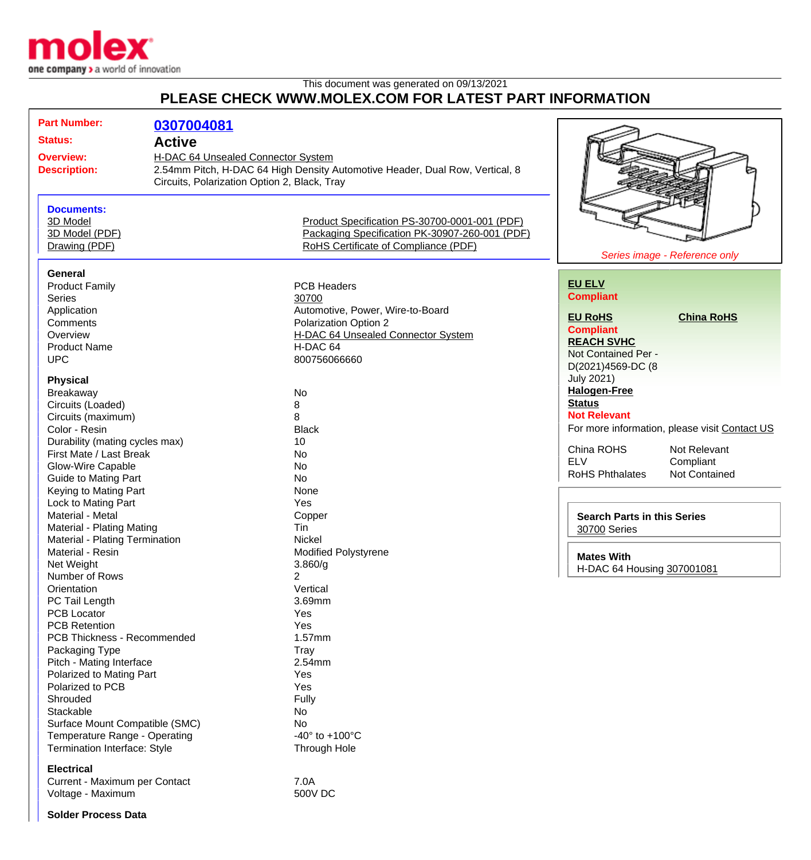

## This document was generated on 09/13/2021 **PLEASE CHECK WWW.MOLEX.COM FOR LATEST PART INFORMATION**

| <b>Part Number:</b>            | 0307004081                                   |                                                                              |                                                |
|--------------------------------|----------------------------------------------|------------------------------------------------------------------------------|------------------------------------------------|
| <b>Status:</b>                 | <b>Active</b>                                |                                                                              |                                                |
| <b>Overview:</b>               | H-DAC 64 Unsealed Connector System           |                                                                              |                                                |
| <b>Description:</b>            |                                              | 2.54mm Pitch, H-DAC 64 High Density Automotive Header, Dual Row, Vertical, 8 |                                                |
|                                | Circuits, Polarization Option 2, Black, Tray |                                                                              |                                                |
|                                |                                              |                                                                              |                                                |
|                                |                                              |                                                                              |                                                |
| <b>Documents:</b><br>3D Model  |                                              |                                                                              |                                                |
|                                |                                              | Product Specification PS-30700-0001-001 (PDF)                                |                                                |
| 3D Model (PDF)                 |                                              | Packaging Specification PK-30907-260-001 (PDF)                               |                                                |
| Drawing (PDF)                  |                                              | RoHS Certificate of Compliance (PDF)                                         | Series image - Reference only                  |
|                                |                                              |                                                                              |                                                |
| <b>General</b>                 |                                              |                                                                              | <b>EU ELV</b>                                  |
| <b>Product Family</b>          |                                              | <b>PCB Headers</b>                                                           | <b>Compliant</b>                               |
| Series                         |                                              | 30700                                                                        |                                                |
| Application                    |                                              | Automotive, Power, Wire-to-Board                                             | <b>EU RoHS</b><br><b>China RoHS</b>            |
| Comments                       |                                              | Polarization Option 2                                                        | <b>Compliant</b>                               |
| Overview                       |                                              | H-DAC 64 Unsealed Connector System                                           | <b>REACH SVHC</b>                              |
| <b>Product Name</b>            |                                              | H-DAC 64                                                                     | Not Contained Per -                            |
| <b>UPC</b>                     |                                              | 800756066660                                                                 | D(2021)4569-DC (8                              |
| <b>Physical</b>                |                                              |                                                                              | <b>July 2021)</b>                              |
|                                |                                              |                                                                              | <b>Halogen-Free</b>                            |
| Breakaway                      |                                              | No                                                                           | <b>Status</b>                                  |
| Circuits (Loaded)              |                                              | 8                                                                            | <b>Not Relevant</b>                            |
| Circuits (maximum)             |                                              | 8                                                                            |                                                |
| Color - Resin                  |                                              | <b>Black</b>                                                                 | For more information, please visit Contact US  |
| Durability (mating cycles max) |                                              | 10                                                                           | China ROHS<br>Not Relevant                     |
| First Mate / Last Break        |                                              | No                                                                           | <b>ELV</b><br>Compliant                        |
| Glow-Wire Capable              |                                              | No                                                                           | <b>RoHS Phthalates</b><br><b>Not Contained</b> |
| <b>Guide to Mating Part</b>    |                                              | <b>No</b>                                                                    |                                                |
| Keying to Mating Part          |                                              | None                                                                         |                                                |
| Lock to Mating Part            |                                              | Yes                                                                          |                                                |
| Material - Metal               |                                              | Copper                                                                       | <b>Search Parts in this Series</b>             |
| Material - Plating Mating      |                                              | Tin                                                                          | <b>30700 Series</b>                            |
| Material - Plating Termination |                                              | Nickel                                                                       |                                                |
| Material - Resin               |                                              | <b>Modified Polystyrene</b>                                                  | <b>Mates With</b>                              |
| Net Weight                     |                                              | 3.860/g                                                                      | H-DAC 64 Housing 307001081                     |
| Number of Rows                 |                                              | 2                                                                            |                                                |
| Orientation                    |                                              | Vertical                                                                     |                                                |
| PC Tail Length                 |                                              | 3.69mm                                                                       |                                                |
| <b>PCB Locator</b>             |                                              | Yes                                                                          |                                                |
| <b>PCB Retention</b>           |                                              | Yes                                                                          |                                                |
| PCB Thickness - Recommended    |                                              | 1.57mm                                                                       |                                                |
| Packaging Type                 |                                              | <b>Tray</b>                                                                  |                                                |
| Pitch - Mating Interface       |                                              | 2.54mm                                                                       |                                                |
| Polarized to Mating Part       |                                              | Yes                                                                          |                                                |
| Polarized to PCB               |                                              | Yes                                                                          |                                                |
| Shrouded                       |                                              | Fully                                                                        |                                                |
| Stackable                      |                                              | No                                                                           |                                                |
| Surface Mount Compatible (SMC) |                                              | No                                                                           |                                                |
| Temperature Range - Operating  |                                              | -40 $\degree$ to +100 $\degree$ C                                            |                                                |
| Termination Interface: Style   |                                              | Through Hole                                                                 |                                                |
| <b>Electrical</b>              |                                              |                                                                              |                                                |
| Current - Maximum per Contact  |                                              | 7.0A                                                                         |                                                |
| Voltage - Maximum              |                                              | <b>500V DC</b>                                                               |                                                |
|                                |                                              |                                                                              |                                                |

**Solder Process Data**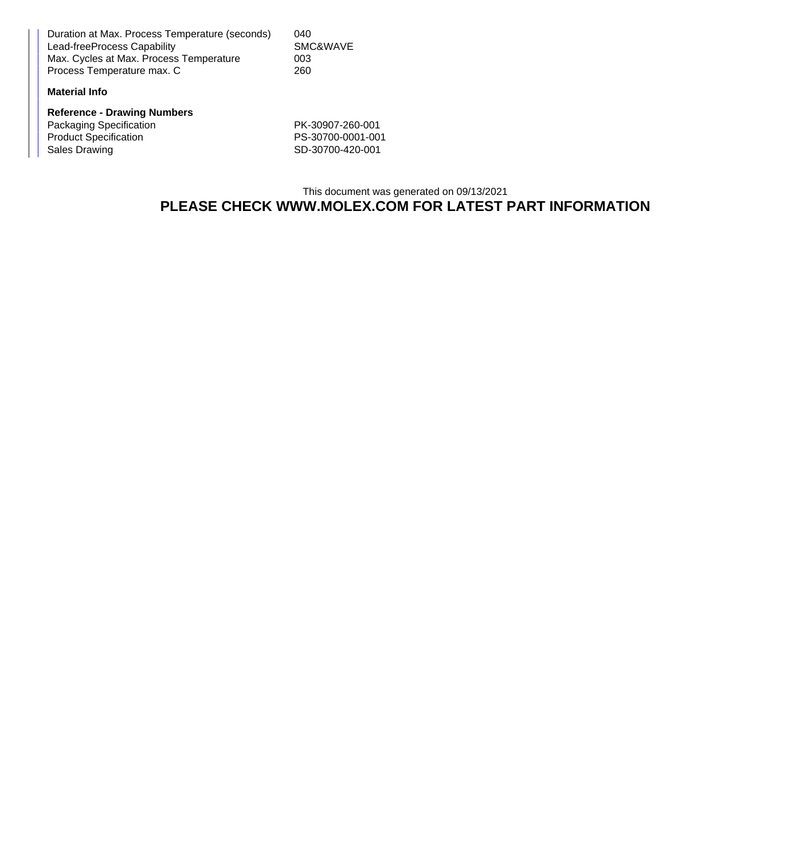Duration at Max. Process Temperature (seconds) 040 Lead-freeProcess Capability SMC&WAVE Max. Cycles at Max. Process Temperature 003<br>Process Temperature max. C 260 Process Temperature max. C

## **Material Info**

**Reference - Drawing Numbers** Packaging Specification PK-30907-260-001 Product Specification PS-30700-0001-001 Sales Drawing **SD-30700-420-001** 

This document was generated on 09/13/2021 **PLEASE CHECK WWW.MOLEX.COM FOR LATEST PART INFORMATION**